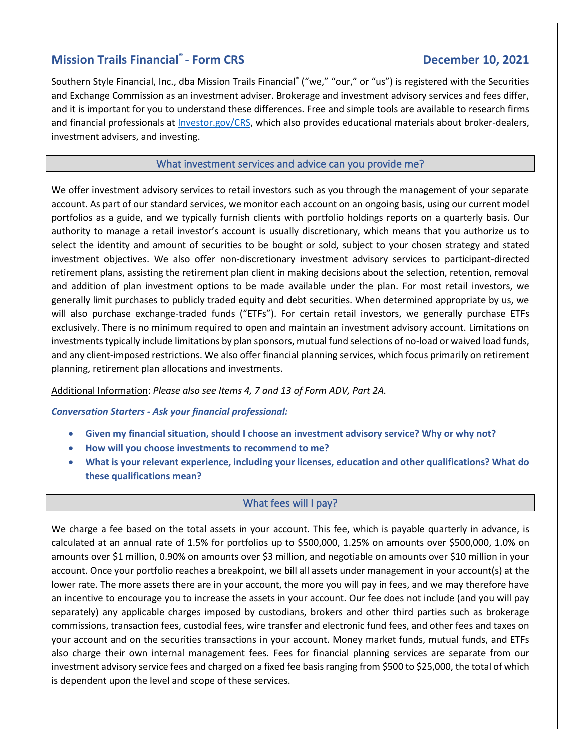# **Mission Trails Financial<sup>®</sup> - Form CRS**

## **- Form CRS December 10, 2021**

Southern Style Financial, Inc., dba Mission Trails Financial**®** ("we," "our," or "us") is registered with the Securities and Exchange Commission as an investment adviser. Brokerage and investment advisory services and fees differ, and it is important for you to understand these differences. Free and simple tools are available to research firms and financial professionals at [Investor.gov/CRS,](https://www.investor.gov/CRS) which also provides educational materials about broker-dealers, investment advisers, and investing.

### What investment services and advice can you provide me?

We offer investment advisory services to retail investors such as you through the management of your separate account. As part of our standard services, we monitor each account on an ongoing basis, using our current model portfolios as a guide, and we typically furnish clients with portfolio holdings reports on a quarterly basis. Our authority to manage a retail investor's account is usually discretionary, which means that you authorize us to select the identity and amount of securities to be bought or sold, subject to your chosen strategy and stated investment objectives. We also offer non-discretionary investment advisory services to participant-directed retirement plans, assisting the retirement plan client in making decisions about the selection, retention, removal and addition of plan investment options to be made available under the plan. For most retail investors, we generally limit purchases to publicly traded equity and debt securities. When determined appropriate by us, we will also purchase exchange-traded funds ("ETFs"). For certain retail investors, we generally purchase ETFs exclusively. There is no minimum required to open and maintain an investment advisory account. Limitations on investments typically include limitations by plan sponsors, mutual fund selections of no-load or waived load funds, and any client-imposed restrictions. We also offer financial planning services, which focus primarily on retirement planning, retirement plan allocations and investments.

#### Additional Information: *Please also see Items 4, 7 and 13 of Form ADV, Part 2A.*

#### *Conversation Starters - Ask your financial professional:*

- **Given my financial situation, should I choose an investment advisory service? Why or why not?**
- **How will you choose investments to recommend to me?**
- **What is your relevant experience, including your licenses, education and other qualifications? What do these qualifications mean?**

#### What fees will I pay?

We charge a fee based on the total assets in your account. This fee, which is payable quarterly in advance, is calculated at an annual rate of 1.5% for portfolios up to \$500,000, 1.25% on amounts over \$500,000, 1.0% on amounts over \$1 million, 0.90% on amounts over \$3 million, and negotiable on amounts over \$10 million in your account. Once your portfolio reaches a breakpoint, we bill all assets under management in your account(s) at the lower rate. The more assets there are in your account, the more you will pay in fees, and we may therefore have an incentive to encourage you to increase the assets in your account. Our fee does not include (and you will pay separately) any applicable charges imposed by custodians, brokers and other third parties such as brokerage commissions, transaction fees, custodial fees, wire transfer and electronic fund fees, and other fees and taxes on your account and on the securities transactions in your account. Money market funds, mutual funds, and ETFs also charge their own internal management fees. Fees for financial planning services are separate from our investment advisory service fees and charged on a fixed fee basis ranging from \$500 to \$25,000, the total of which is dependent upon the level and scope of these services.